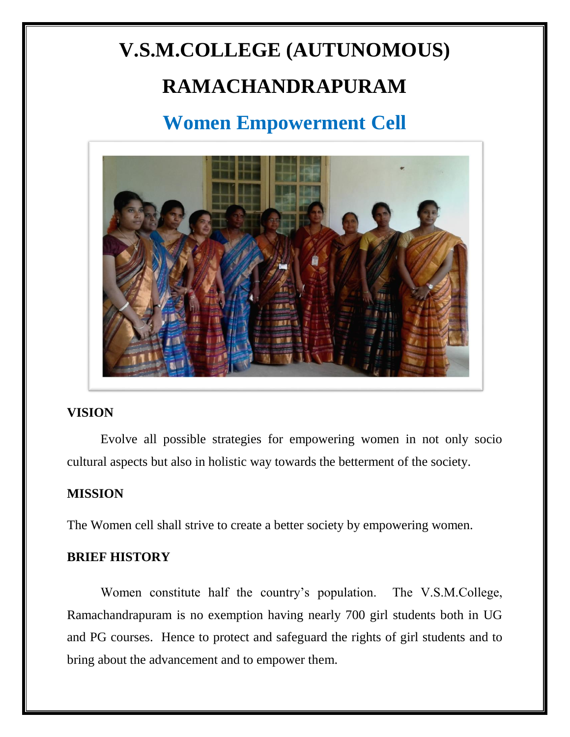# **V.S.M.COLLEGE (AUTUNOMOUS) RAMACHANDRAPURAM**

### **Women Empowerment Cell**



#### **VISION**

Evolve all possible strategies for empowering women in not only socio cultural aspects but also in holistic way towards the betterment of the society.

#### **MISSION**

The Women cell shall strive to create a better society by empowering women.

#### **BRIEF HISTORY**

Women constitute half the country's population. The V.S.M.College, Ramachandrapuram is no exemption having nearly 700 girl students both in UG and PG courses. Hence to protect and safeguard the rights of girl students and to bring about the advancement and to empower them.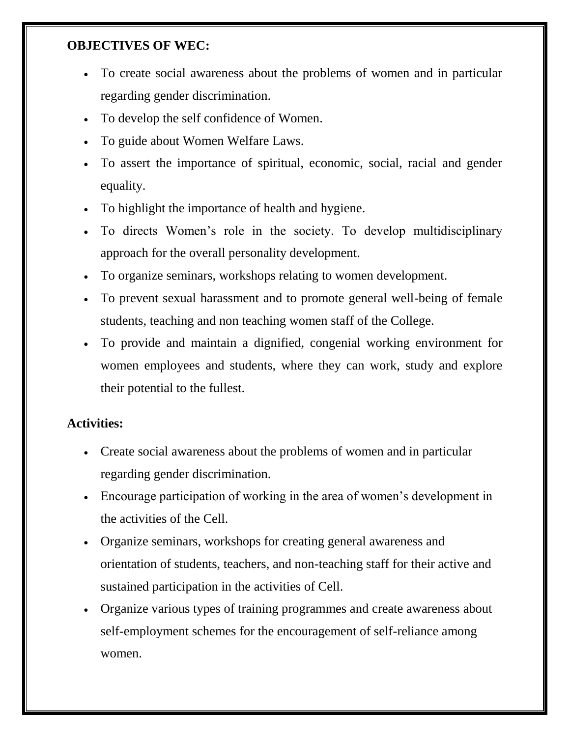#### **OBJECTIVES OF WEC:**

- To create social awareness about the problems of women and in particular regarding gender discrimination.
- To develop the self confidence of Women.
- To guide about Women Welfare Laws.
- To assert the importance of spiritual, economic, social, racial and gender equality.
- To highlight the importance of health and hygiene.
- To directs Women's role in the society. To develop multidisciplinary approach for the overall personality development.
- To organize seminars, workshops relating to women development.
- To prevent sexual harassment and to promote general well-being of female students, teaching and non teaching women staff of the College.
- To provide and maintain a dignified, congenial working environment for women employees and students, where they can work, study and explore their potential to the fullest.

#### **Activities:**

- Create social awareness about the problems of women and in particular regarding gender discrimination.
- Encourage participation of working in the area of women's development in the activities of the Cell.
- Organize seminars, workshops for creating general awareness and orientation of students, teachers, and non-teaching staff for their active and sustained participation in the activities of Cell.
- Organize various types of training programmes and create awareness about self-employment schemes for the encouragement of self-reliance among women.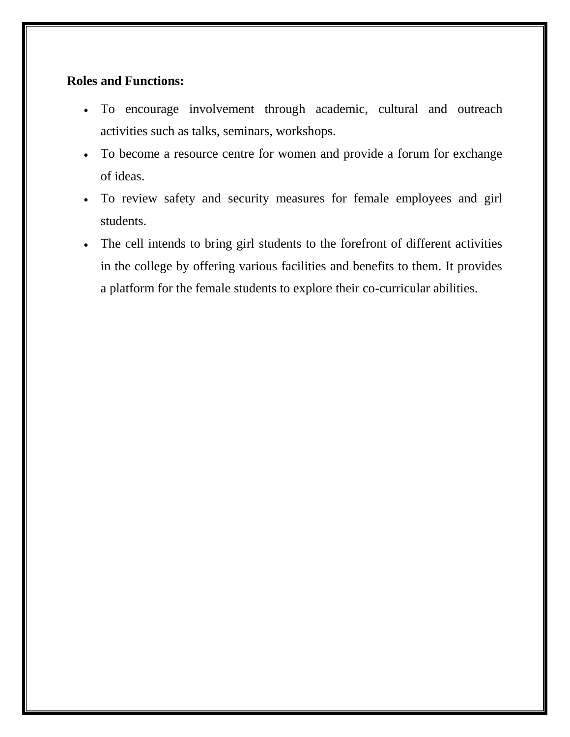#### **Roles and Functions:**

- To encourage involvement through academic, cultural and outreach activities such as talks, seminars, workshops.
- To become a resource centre for women and provide a forum for exchange of ideas.
- To review safety and security measures for female employees and girl students.
- The cell intends to bring girl students to the forefront of different activities in the college by offering various facilities and benefits to them. It provides a platform for the female students to explore their co-curricular abilities.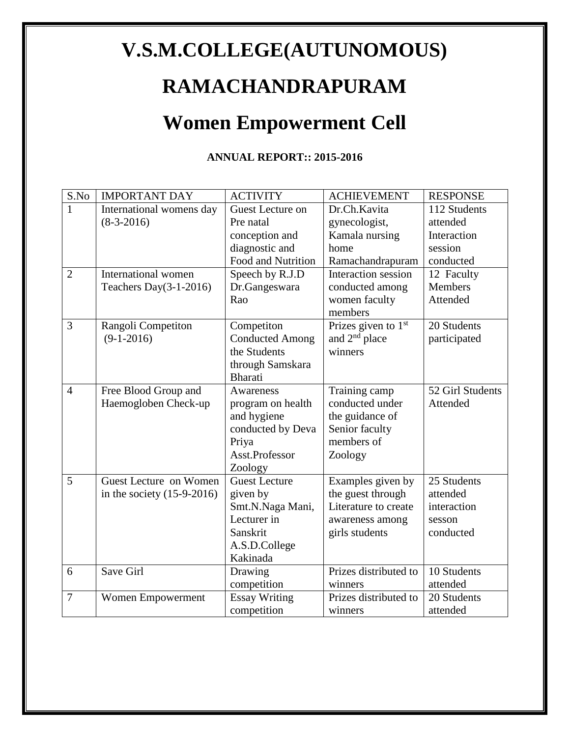## **V.S.M.COLLEGE(AUTUNOMOUS)**

### **RAMACHANDRAPURAM**

### **Women Empowerment Cell**

#### **ANNUAL REPORT:: 2015-2016**

| S.No           | <b>IMPORTANT DAY</b>         | <b>ACTIVITY</b>        | <b>ACHIEVEMENT</b>    | <b>RESPONSE</b>  |
|----------------|------------------------------|------------------------|-----------------------|------------------|
| 1              | International womens day     | Guest Lecture on       | Dr.Ch.Kavita          | 112 Students     |
|                | $(8-3-2016)$                 | Pre natal              | gynecologist,         | attended         |
|                |                              | conception and         | Kamala nursing        | Interaction      |
|                |                              | diagnostic and         | home                  | session          |
|                |                              | Food and Nutrition     | Ramachandrapuram      | conducted        |
| $\overline{2}$ | International women          | Speech by R.J.D        | Interaction session   | 12 Faculty       |
|                | Teachers Day $(3-1-2016)$    | Dr.Gangeswara          | conducted among       | <b>Members</b>   |
|                |                              | Rao                    | women faculty         | Attended         |
|                |                              |                        | members               |                  |
| $\overline{3}$ | Rangoli Competiton           | Competiton             | Prizes given to $1st$ | 20 Students      |
|                | $(9-1-2016)$                 | <b>Conducted Among</b> | and $2nd$ place       | participated     |
|                |                              | the Students           | winners               |                  |
|                |                              | through Samskara       |                       |                  |
|                |                              | <b>Bharati</b>         |                       |                  |
| $\overline{4}$ | Free Blood Group and         | Awareness              | Training camp         | 52 Girl Students |
|                | Haemogloben Check-up         | program on health      | conducted under       | Attended         |
|                |                              | and hygiene            | the guidance of       |                  |
|                |                              | conducted by Deva      | Senior faculty        |                  |
|                |                              | Priya                  | members of            |                  |
|                |                              | Asst.Professor         | Zoology               |                  |
|                |                              | Zoology                |                       |                  |
| 5              | Guest Lecture on Women       | <b>Guest Lecture</b>   | Examples given by     | 25 Students      |
|                | in the society $(15-9-2016)$ | given by               | the guest through     | attended         |
|                |                              | Smt.N.Naga Mani,       | Literature to create  | interaction      |
|                |                              | Lecturer in            | awareness among       | sesson           |
|                |                              | Sanskrit               | girls students        | conducted        |
|                |                              | A.S.D.College          |                       |                  |
|                |                              | Kakinada               |                       |                  |
| 6              | Save Girl                    | Drawing                | Prizes distributed to | 10 Students      |
|                |                              | competition            | winners               | attended         |
| 7              | Women Empowerment            | <b>Essay Writing</b>   | Prizes distributed to | 20 Students      |
|                |                              | competition            | winners               | attended         |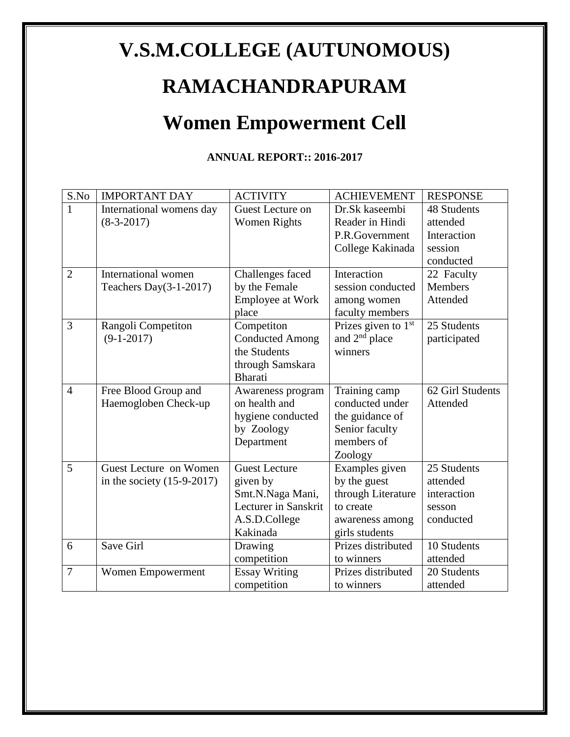# **V.S.M.COLLEGE (AUTUNOMOUS)**

### **RAMACHANDRAPURAM**

### **Women Empowerment Cell**

#### **ANNUAL REPORT:: 2016-2017**

| S.No           | <b>IMPORTANT DAY</b>         | <b>ACTIVITY</b>         | <b>ACHIEVEMENT</b>    | <b>RESPONSE</b>  |
|----------------|------------------------------|-------------------------|-----------------------|------------------|
| $\mathbf{1}$   | International womens day     | Guest Lecture on        | Dr.Sk kaseembi        | 48 Students      |
|                | $(8-3-2017)$                 | <b>Women Rights</b>     | Reader in Hindi       | attended         |
|                |                              |                         | P.R.Government        | Interaction      |
|                |                              |                         | College Kakinada      | session          |
|                |                              |                         |                       | conducted        |
| $\overline{2}$ | International women          | Challenges faced        | Interaction           | 22 Faculty       |
|                | Teachers Day $(3-1-2017)$    | by the Female           | session conducted     | Members          |
|                |                              | <b>Employee at Work</b> | among women           | Attended         |
|                |                              | place                   | faculty members       |                  |
| 3              | Rangoli Competiton           | Competiton              | Prizes given to $1st$ | 25 Students      |
|                | $(9-1-2017)$                 | <b>Conducted Among</b>  | and $2nd$ place       | participated     |
|                |                              | the Students            | winners               |                  |
|                |                              | through Samskara        |                       |                  |
|                |                              | <b>Bharati</b>          |                       |                  |
| $\overline{4}$ | Free Blood Group and         | Awareness program       | Training camp         | 62 Girl Students |
|                | Haemogloben Check-up         | on health and           | conducted under       | Attended         |
|                |                              | hygiene conducted       | the guidance of       |                  |
|                |                              | by Zoology              | Senior faculty        |                  |
|                |                              | Department              | members of            |                  |
|                |                              |                         | Zoology               |                  |
| 5              | Guest Lecture on Women       | <b>Guest Lecture</b>    | Examples given        | 25 Students      |
|                | in the society $(15-9-2017)$ | given by                | by the guest          | attended         |
|                |                              | Smt.N.Naga Mani,        | through Literature    | interaction      |
|                |                              | Lecturer in Sanskrit    | to create             | sesson           |
|                |                              | A.S.D.College           | awareness among       | conducted        |
|                |                              | Kakinada                | girls students        |                  |
| 6              | Save Girl                    | Drawing                 | Prizes distributed    | 10 Students      |
|                |                              | competition             | to winners            | attended         |
| $\overline{7}$ | Women Empowerment            | <b>Essay Writing</b>    | Prizes distributed    | 20 Students      |
|                |                              | competition             | to winners            | attended         |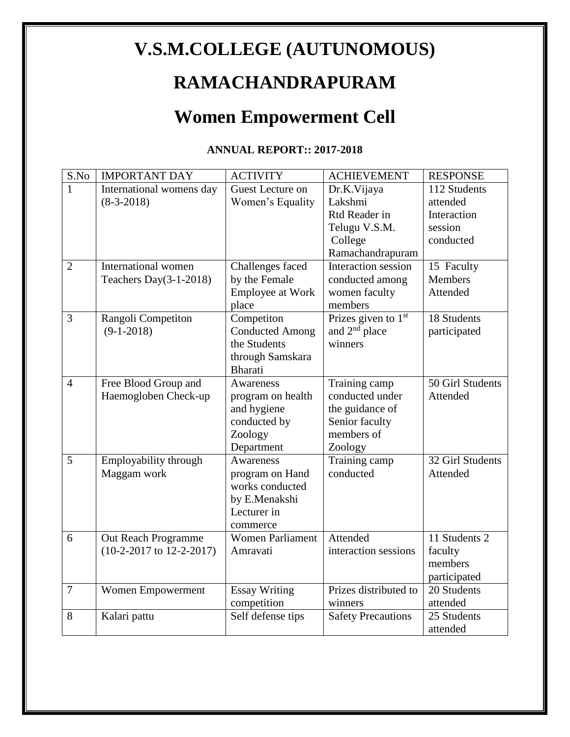### **V.S.M.COLLEGE (AUTUNOMOUS)**

### **RAMACHANDRAPURAM**

# **Women Empowerment Cell**

#### **ANNUAL REPORT:: 2017-2018**

| S.No           | <b>IMPORTANT DAY</b>                                | <b>ACTIVITY</b>                                                                             | <b>ACHIEVEMENT</b>                                                                             | <b>RESPONSE</b>                                                 |
|----------------|-----------------------------------------------------|---------------------------------------------------------------------------------------------|------------------------------------------------------------------------------------------------|-----------------------------------------------------------------|
| 1              | International womens day<br>$(8-3-2018)$            | Guest Lecture on<br>Women's Equality                                                        | Dr.K.Vijaya<br>Lakshmi<br>Rtd Reader in<br>Telugu V.S.M.<br>College<br>Ramachandrapuram        | 112 Students<br>attended<br>Interaction<br>session<br>conducted |
| $\overline{2}$ | International women<br>Teachers Day $(3-1-2018)$    | Challenges faced<br>by the Female<br>Employee at Work<br>place                              | Interaction session<br>conducted among<br>women faculty<br>members                             | 15 Faculty<br>Members<br>Attended                               |
| $\overline{3}$ | Rangoli Competiton<br>$(9-1-2018)$                  | Competiton<br><b>Conducted Among</b><br>the Students<br>through Samskara<br><b>Bharati</b>  | Prizes given to 1 <sup>st</sup><br>and 2 <sup>nd</sup> place<br>winners                        | 18 Students<br>participated                                     |
| $\overline{4}$ | Free Blood Group and<br>Haemogloben Check-up        | Awareness<br>program on health<br>and hygiene<br>conducted by<br>Zoology<br>Department      | Training camp<br>conducted under<br>the guidance of<br>Senior faculty<br>members of<br>Zoology | 50 Girl Students<br>Attended                                    |
| 5              | Employability through<br>Maggam work                | Awareness<br>program on Hand<br>works conducted<br>by E.Menakshi<br>Lecturer in<br>commerce | Training camp<br>conducted                                                                     | 32 Girl Students<br>Attended                                    |
| 6              | Out Reach Programme<br>$(10-2-2017$ to $12-2-2017)$ | <b>Women Parliament</b><br>Amravati                                                         | Attended<br>interaction sessions                                                               | 11 Students 2<br>faculty<br>members<br>participated             |
| $\overline{7}$ | Women Empowerment                                   | <b>Essay Writing</b><br>competition                                                         | Prizes distributed to<br>winners                                                               | 20 Students<br>attended                                         |
| 8              | Kalari pattu                                        | Self defense tips                                                                           | <b>Safety Precautions</b>                                                                      | 25 Students<br>attended                                         |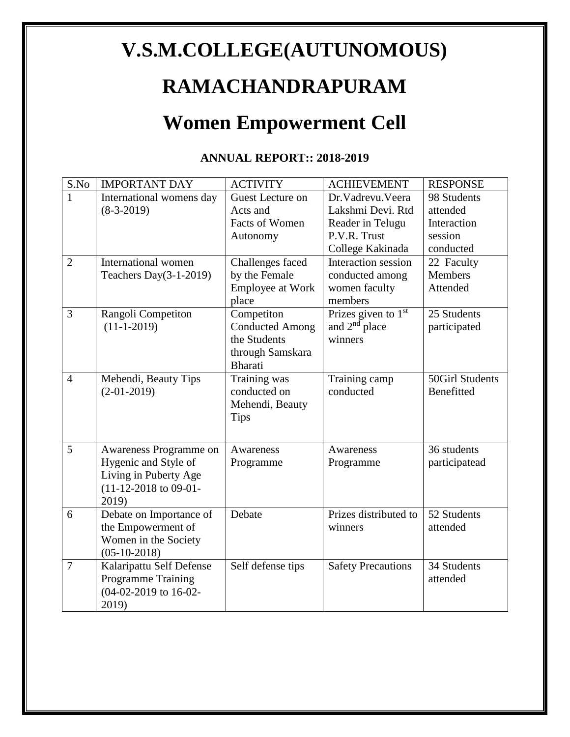# **V.S.M.COLLEGE(AUTUNOMOUS)**

### **RAMACHANDRAPURAM**

### **Women Empowerment Cell**

#### **ANNUAL REPORT:: 2018-2019**

| S.No           | <b>IMPORTANT DAY</b>      | <b>ACTIVITY</b>         | <b>ACHIEVEMENT</b>        | <b>RESPONSE</b>        |
|----------------|---------------------------|-------------------------|---------------------------|------------------------|
| $\mathbf{1}$   | International womens day  | Guest Lecture on        | Dr. Vadrevu. Veera        | 98 Students            |
|                | $(8-3-2019)$              | Acts and                | Lakshmi Devi. Rtd         | attended               |
|                |                           | Facts of Women          | Reader in Telugu          | Interaction            |
|                |                           | Autonomy                | P.V.R. Trust              | session                |
|                |                           |                         | College Kakinada          | conducted              |
| $\overline{2}$ | International women       | Challenges faced        | Interaction session       | 22 Faculty             |
|                | Teachers Day $(3-1-2019)$ | by the Female           | conducted among           | <b>Members</b>         |
|                |                           | <b>Employee at Work</b> | women faculty             | Attended               |
|                |                           | place                   | members                   |                        |
| 3              | Rangoli Competiton        | Competiton              | Prizes given to $1st$     | 25 Students            |
|                | $(11-1-2019)$             | <b>Conducted Among</b>  | and $2nd$ place           | participated           |
|                |                           | the Students            | winners                   |                        |
|                |                           | through Samskara        |                           |                        |
|                |                           | <b>Bharati</b>          |                           |                        |
| $\overline{4}$ | Mehendi, Beauty Tips      | Training was            | Training camp             | <b>50Girl Students</b> |
|                | $(2-01-2019)$             | conducted on            | conducted                 | Benefitted             |
|                |                           | Mehendi, Beauty         |                           |                        |
|                |                           | <b>Tips</b>             |                           |                        |
|                |                           |                         |                           |                        |
| 5              | Awareness Programme on    | Awareness               | Awareness                 | 36 students            |
|                | Hygenic and Style of      | Programme               | Programme                 | participatead          |
|                | Living in Puberty Age     |                         |                           |                        |
|                | $(11-12-2018$ to 09-01-   |                         |                           |                        |
|                | 2019)                     |                         |                           |                        |
| 6              | Debate on Importance of   | Debate                  | Prizes distributed to     | 52 Students            |
|                | the Empowerment of        |                         | winners                   | attended               |
|                | Women in the Society      |                         |                           |                        |
|                | $(05-10-2018)$            |                         |                           |                        |
| $\overline{7}$ | Kalaripattu Self Defense  | Self defense tips       | <b>Safety Precautions</b> | 34 Students            |
|                | <b>Programme Training</b> |                         |                           | attended               |
|                | (04-02-2019 to 16-02-     |                         |                           |                        |
|                | 2019)                     |                         |                           |                        |